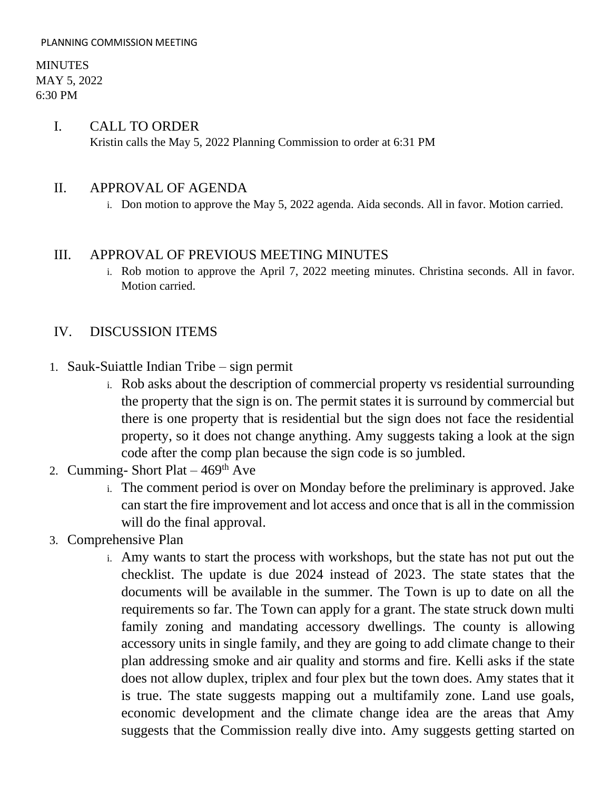MINUTES MAY 5, 2022 6:30 PM

## I. CALL TO ORDER Kristin calls the May 5, 2022 Planning Commission to order at 6:31 PM

## II. APPROVAL OF AGENDA

i. Don motion to approve the May 5, 2022 agenda. Aida seconds. All in favor. Motion carried.

#### III. APPROVAL OF PREVIOUS MEETING MINUTES

i. Rob motion to approve the April 7, 2022 meeting minutes. Christina seconds. All in favor. Motion carried.

#### IV. DISCUSSION ITEMS

- 1. Sauk-Suiattle Indian Tribe sign permit
	- i. Rob asks about the description of commercial property vs residential surrounding the property that the sign is on. The permit states it is surround by commercial but there is one property that is residential but the sign does not face the residential property, so it does not change anything. Amy suggests taking a look at the sign code after the comp plan because the sign code is so jumbled.
- 2. Cumming- Short Plat  $-469<sup>th</sup>$  Ave
	- i. The comment period is over on Monday before the preliminary is approved. Jake can start the fire improvement and lot access and once that is all in the commission will do the final approval.
- 3. Comprehensive Plan
	- i. Amy wants to start the process with workshops, but the state has not put out the checklist. The update is due 2024 instead of 2023. The state states that the documents will be available in the summer. The Town is up to date on all the requirements so far. The Town can apply for a grant. The state struck down multi family zoning and mandating accessory dwellings. The county is allowing accessory units in single family, and they are going to add climate change to their plan addressing smoke and air quality and storms and fire. Kelli asks if the state does not allow duplex, triplex and four plex but the town does. Amy states that it is true. The state suggests mapping out a multifamily zone. Land use goals, economic development and the climate change idea are the areas that Amy suggests that the Commission really dive into. Amy suggests getting started on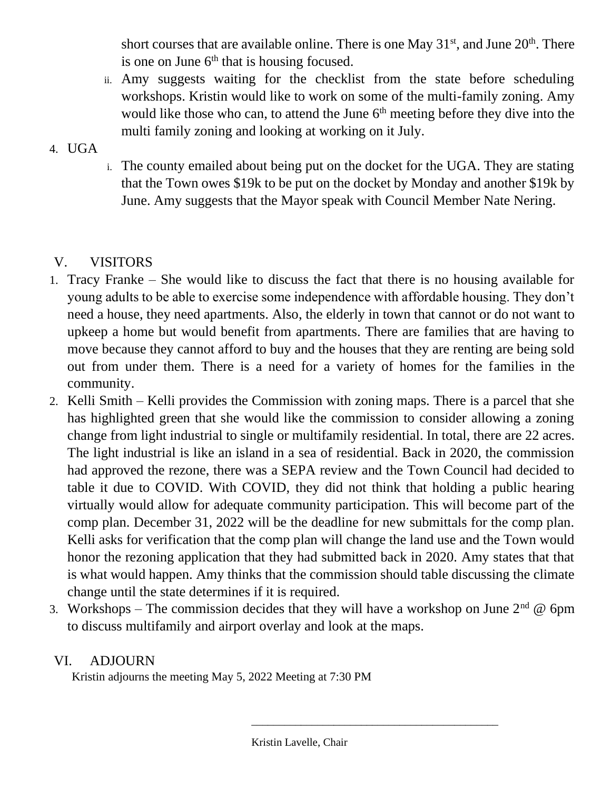short courses that are available online. There is one May  $31<sup>st</sup>$ , and June  $20<sup>th</sup>$ . There is one on June  $6<sup>th</sup>$  that is housing focused.

- ii. Amy suggests waiting for the checklist from the state before scheduling workshops. Kristin would like to work on some of the multi-family zoning. Amy would like those who can, to attend the June  $6<sup>th</sup>$  meeting before they dive into the multi family zoning and looking at working on it July.
- 4. UGA
- i. The county emailed about being put on the docket for the UGA. They are stating that the Town owes \$19k to be put on the docket by Monday and another \$19k by June. Amy suggests that the Mayor speak with Council Member Nate Nering.

# V. VISITORS

- 1. Tracy Franke She would like to discuss the fact that there is no housing available for young adults to be able to exercise some independence with affordable housing. They don't need a house, they need apartments. Also, the elderly in town that cannot or do not want to upkeep a home but would benefit from apartments. There are families that are having to move because they cannot afford to buy and the houses that they are renting are being sold out from under them. There is a need for a variety of homes for the families in the community.
- 2. Kelli Smith Kelli provides the Commission with zoning maps. There is a parcel that she has highlighted green that she would like the commission to consider allowing a zoning change from light industrial to single or multifamily residential. In total, there are 22 acres. The light industrial is like an island in a sea of residential. Back in 2020, the commission had approved the rezone, there was a SEPA review and the Town Council had decided to table it due to COVID. With COVID, they did not think that holding a public hearing virtually would allow for adequate community participation. This will become part of the comp plan. December 31, 2022 will be the deadline for new submittals for the comp plan. Kelli asks for verification that the comp plan will change the land use and the Town would honor the rezoning application that they had submitted back in 2020. Amy states that that is what would happen. Amy thinks that the commission should table discussing the climate change until the state determines if it is required.
- 3. Workshops The commission decides that they will have a workshop on June  $2<sup>nd</sup>$  @ 6pm to discuss multifamily and airport overlay and look at the maps.

## VI. ADJOURN

Kristin adjourns the meeting May 5, 2022 Meeting at 7:30 PM

\_\_\_\_\_\_\_\_\_\_\_\_\_\_\_\_\_\_\_\_\_\_\_\_\_\_\_\_\_\_\_\_\_\_\_\_\_\_\_\_\_\_\_\_\_